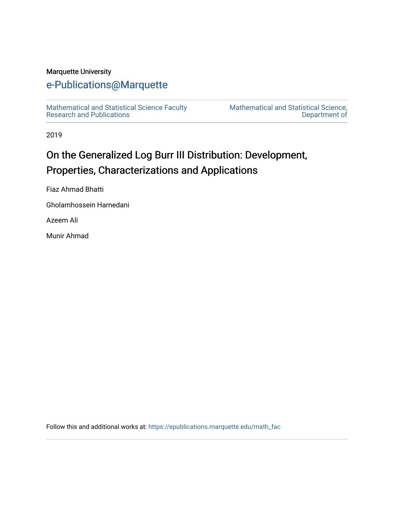#### Marquette University

#### [e-Publications@Marquette](https://epublications.marquette.edu/)

[Mathematical and Statistical Science Faculty](https://epublications.marquette.edu/math_fac)  [Research and Publications](https://epublications.marquette.edu/math_fac) 

[Mathematical and Statistical Science,](https://epublications.marquette.edu/math)  [Department of](https://epublications.marquette.edu/math) 

2019

#### On the Generalized Log Burr III Distribution: Development, Properties, Characterizations and Applications

Fiaz Ahmad Bhatti

Gholamhossein Hamedani

Azeem Ali

Munir Ahmad

Follow this and additional works at: [https://epublications.marquette.edu/math\\_fac](https://epublications.marquette.edu/math_fac?utm_source=epublications.marquette.edu%2Fmath_fac%2F90&utm_medium=PDF&utm_campaign=PDFCoverPages)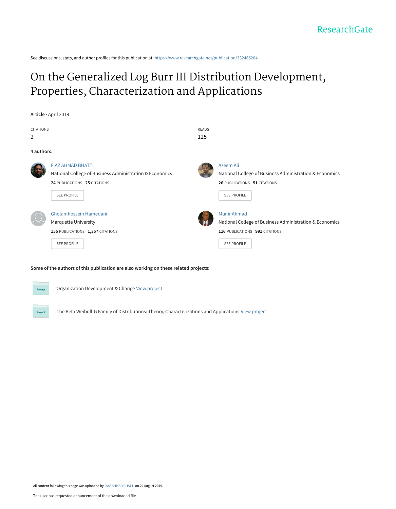See discussions, stats, and author profiles for this publication at: [https://www.researchgate.net/publication/332465284](https://www.researchgate.net/publication/332465284_On_the_Generalized_Log_Burr_III_Distribution_Development_Properties_Characterization_and_Applications?enrichId=rgreq-57512977ecb8f952fbbef9c6952eea69-XXX&enrichSource=Y292ZXJQYWdlOzMzMjQ2NTI4NDtBUzo3OTcyMTg2NzYxNjY2NjNAMTU2NzA4MzE1MjUwMQ%3D%3D&el=1_x_2&_esc=publicationCoverPdf)

#### [On the Generalized Log Burr III Distribution Development,](https://www.researchgate.net/publication/332465284_On_the_Generalized_Log_Burr_III_Distribution_Development_Properties_Characterization_and_Applications?enrichId=rgreq-57512977ecb8f952fbbef9c6952eea69-XXX&enrichSource=Y292ZXJQYWdlOzMzMjQ2NTI4NDtBUzo3OTcyMTg2NzYxNjY2NjNAMTU2NzA4MzE1MjUwMQ%3D%3D&el=1_x_3&_esc=publicationCoverPdf) Properties, Characterization and Applications

**Article** · April 2019 CITATIONS 2 READS 125 **4 authors:** [FIAZ AHMAD BHATTI](https://www.researchgate.net/profile/Fiaz_Bhatti4?enrichId=rgreq-57512977ecb8f952fbbef9c6952eea69-XXX&enrichSource=Y292ZXJQYWdlOzMzMjQ2NTI4NDtBUzo3OTcyMTg2NzYxNjY2NjNAMTU2NzA4MzE1MjUwMQ%3D%3D&el=1_x_5&_esc=publicationCoverPdf) [National College of Business Administration & Economics](https://www.researchgate.net/institution/National_College_of_Business_Administration_Economics?enrichId=rgreq-57512977ecb8f952fbbef9c6952eea69-XXX&enrichSource=Y292ZXJQYWdlOzMzMjQ2NTI4NDtBUzo3OTcyMTg2NzYxNjY2NjNAMTU2NzA4MzE1MjUwMQ%3D%3D&el=1_x_6&_esc=publicationCoverPdf) **24** PUBLICATIONS **25** CITATIONS SEE PROFILE [Azeem Ali](https://www.researchgate.net/profile/Azeem_Ali6?enrichId=rgreq-57512977ecb8f952fbbef9c6952eea69-XXX&enrichSource=Y292ZXJQYWdlOzMzMjQ2NTI4NDtBUzo3OTcyMTg2NzYxNjY2NjNAMTU2NzA4MzE1MjUwMQ%3D%3D&el=1_x_5&_esc=publicationCoverPdf) [National College of Business Administration & Economics](https://www.researchgate.net/institution/National_College_of_Business_Administration_Economics?enrichId=rgreq-57512977ecb8f952fbbef9c6952eea69-XXX&enrichSource=Y292ZXJQYWdlOzMzMjQ2NTI4NDtBUzo3OTcyMTg2NzYxNjY2NjNAMTU2NzA4MzE1MjUwMQ%3D%3D&el=1_x_6&_esc=publicationCoverPdf) **26** PUBLICATIONS **51** CITATIONS [SEE PROFILE](https://www.researchgate.net/profile/Azeem_Ali6?enrichId=rgreq-57512977ecb8f952fbbef9c6952eea69-XXX&enrichSource=Y292ZXJQYWdlOzMzMjQ2NTI4NDtBUzo3OTcyMTg2NzYxNjY2NjNAMTU2NzA4MzE1MjUwMQ%3D%3D&el=1_x_7&_esc=publicationCoverPdf) [Gholamhossein Hamedani](https://www.researchgate.net/profile/Gholamhossein_Hamedani?enrichId=rgreq-57512977ecb8f952fbbef9c6952eea69-XXX&enrichSource=Y292ZXJQYWdlOzMzMjQ2NTI4NDtBUzo3OTcyMTg2NzYxNjY2NjNAMTU2NzA4MzE1MjUwMQ%3D%3D&el=1_x_5&_esc=publicationCoverPdf) [Marquette University](https://www.researchgate.net/institution/Marquette_University?enrichId=rgreq-57512977ecb8f952fbbef9c6952eea69-XXX&enrichSource=Y292ZXJQYWdlOzMzMjQ2NTI4NDtBUzo3OTcyMTg2NzYxNjY2NjNAMTU2NzA4MzE1MjUwMQ%3D%3D&el=1_x_6&_esc=publicationCoverPdf) **155** PUBLICATIONS **1,357** CITATIONS SEE PROFILE [Munir Ahmad](https://www.researchgate.net/profile/Munir_Ahmad23?enrichId=rgreq-57512977ecb8f952fbbef9c6952eea69-XXX&enrichSource=Y292ZXJQYWdlOzMzMjQ2NTI4NDtBUzo3OTcyMTg2NzYxNjY2NjNAMTU2NzA4MzE1MjUwMQ%3D%3D&el=1_x_5&_esc=publicationCoverPdf) [National College of Business Administration & Economics](https://www.researchgate.net/institution/National_College_of_Business_Administration_Economics?enrichId=rgreq-57512977ecb8f952fbbef9c6952eea69-XXX&enrichSource=Y292ZXJQYWdlOzMzMjQ2NTI4NDtBUzo3OTcyMTg2NzYxNjY2NjNAMTU2NzA4MzE1MjUwMQ%3D%3D&el=1_x_6&_esc=publicationCoverPdf) **116** PUBLICATIONS **991** CITATIONS [SEE PROFILE](https://www.researchgate.net/profile/Munir_Ahmad23?enrichId=rgreq-57512977ecb8f952fbbef9c6952eea69-XXX&enrichSource=Y292ZXJQYWdlOzMzMjQ2NTI4NDtBUzo3OTcyMTg2NzYxNjY2NjNAMTU2NzA4MzE1MjUwMQ%3D%3D&el=1_x_7&_esc=publicationCoverPdf) EEE<br>
Gholar<br>
Marquu<br>
155PUE<br>
SEEF

#### **Some of the authors of this publication are also working on these related projects:**

| ۴<br>o |
|--------|
| ٠      |

Project

Organization Development & Change [View project](https://www.researchgate.net/project/Organization-Development-Change?enrichId=rgreq-57512977ecb8f952fbbef9c6952eea69-XXX&enrichSource=Y292ZXJQYWdlOzMzMjQ2NTI4NDtBUzo3OTcyMTg2NzYxNjY2NjNAMTU2NzA4MzE1MjUwMQ%3D%3D&el=1_x_9&_esc=publicationCoverPdf)

The Beta Weibull-G Family of Distributions: Theory, Characterizations and Applications [View project](https://www.researchgate.net/project/The-Beta-Weibull-G-Family-of-Distributions-Theory-Characterizations-and-Applications?enrichId=rgreq-57512977ecb8f952fbbef9c6952eea69-XXX&enrichSource=Y292ZXJQYWdlOzMzMjQ2NTI4NDtBUzo3OTcyMTg2NzYxNjY2NjNAMTU2NzA4MzE1MjUwMQ%3D%3D&el=1_x_9&_esc=publicationCoverPdf)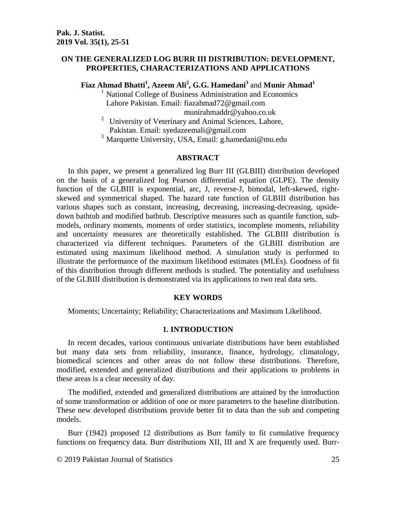#### **ON THE GENERALIZED LOG BURR III DISTRIBUTION: DEVELOPMENT, PROPERTIES, CHARACTERIZATIONS AND APPLICATIONS**

**Fiaz Ahmad Bhatti<sup>1</sup> , Azeem Ali<sup>2</sup> , G.G. Hamedani<sup>3</sup>** and **Munir Ahmad<sup>1</sup>**

<sup>1</sup> National College of Business Administration and Economics Lahore Pakistan. Email: [fiazahmad72@gmail.com](mailto:fiazahmad72@gmail.com) [munirahmaddr@yahoo.co.uk](mailto:munirahmaddr@yahoo.co.uk)

 $2$  University of Veterinary and Animal Sciences, Lahore, Pakistan. Email: [syedazeemali@gmail.com](mailto:syedazeemali@gmail.com)

<sup>3</sup> Marquette University, USA, Email: g.hamedani@mu.edu

#### **ABSTRACT**

In this paper, we present a generalized log Burr III (GLBIII) distribution developed on the basis of a generalized log Pearson differential equation (GLPE). The density function of the GLBIII is exponential, arc, J, reverse-J, bimodal, left-skewed, rightskewed and symmetrical shaped. The hazard rate function of GLBIII distribution has various shapes such as constant, increasing, decreasing, increasing-decreasing, upsidedown bathtub and modified bathtub. Descriptive measures such as quantile function, submodels, ordinary moments, moments of order statistics, incomplete moments, reliability and uncertainty measures are theoretically established. The GLBIII distribution is characterized via different techniques. Parameters of the GLBIII distribution are estimated using maximum likelihood method. A simulation study is performed to illustrate the performance of the maximum likelihood estimates (MLEs). Goodness of fit of this distribution through different methods is studied. The potentiality and usefulness of the GLBIII distribution is demonstrated via its applications to two real data sets.

#### **KEY WORDS**

Moments; Uncertainty; Reliability; Characterizations and Maximum Likelihood.

#### **1. INTRODUCTION**

In recent decades, various continuous univariate distributions have been established but many data sets from reliability, insurance, finance, hydrology, climatology, biomedical sciences and other areas do not follow these distributions. Therefore, modified, extended and generalized distributions and their applications to problems in these areas is a clear necessity of day.

The modified, extended and generalized distributions are attained by the introduction of some transformation or addition of one or more parameters to the baseline distribution. These new developed distributions provide better fit to data than the sub and competing models.

Burr (1942) proposed 12 distributions as Burr family to fit cumulative frequency functions on frequency data. Burr distributions XII, III and X are frequently used. Burr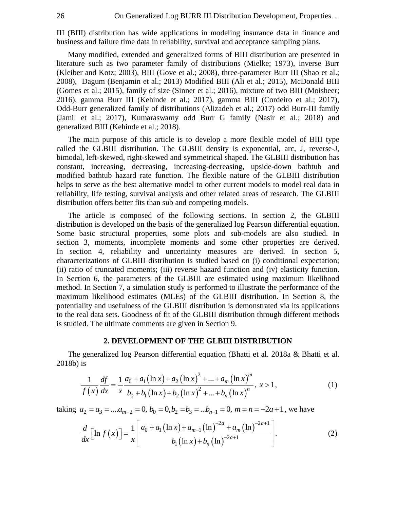III (BIII) distribution has wide applications in modeling insurance data in finance and business and failure time data in reliability, survival and acceptance sampling plans.

Many modified, extended and generalized forms of BIII distribution are presented in literature such as two parameter family of distributions (Mielke; 1973), inverse Burr (Kleiber and Kotz; 2003), BIII (Gove et al.; 2008), three-parameter Burr III (Shao et al.; 2008), Dagum (Benjamin et al.; 2013) Modified BIII (Ali et al.; 2015), McDonald BIII (Gomes et al.; 2015), family of size (Sinner et al.; 2016), mixture of two BIII (Moisheer; 2016), gamma Burr III (Kehinde et al.; 2017), gamma BIII (Cordeiro et al.; 2017), Odd-Burr generalized family of distributions (Alizadeh et al.; 2017) odd Burr-III family (Jamil et al.; 2017), Kumaraswamy odd Burr G family (Nasir et al.; 2018) and generalized BIII (Kehinde et al.; 2018).

The main purpose of this article is to develop a more flexible model of BIII type called the GLBIII distribution. The GLBIII density is exponential, arc, J, reverse-J, bimodal, left-skewed, right-skewed and symmetrical shaped. The GLBIII distribution has constant, increasing, decreasing, increasing-decreasing, upside-down bathtub and modified bathtub hazard rate function. The flexible nature of the GLBIII distribution helps to serve as the best alternative model to other current models to model real data in reliability, life testing, survival analysis and other related areas of research. The GLBIII distribution offers better fits than sub and competing models.

The article is composed of the following sections. In section 2, the GLBIII distribution is developed on the basis of the generalized log Pearson differential equation. Some basic structural properties, some plots and sub-models are also studied. In section 3, moments, incomplete moments and some other properties are derived. In section 4, reliability and uncertainty measures are derived. In section 5, characterizations of GLBIII distribution is studied based on (i) conditional expectation; (ii) ratio of truncated moments; (iii) reverse hazard function and (iv) elasticity function. In Section 6, the parameters of the GLBIII are estimated using maximum likelihood method. In Section 7, a simulation study is performed to illustrate the performance of the maximum likelihood estimates (MLEs) of the GLBIII distribution. In Section 8, the potentiality and usefulness of the GLBIII distribution is demonstrated via its applications to the real data sets. Goodness of fit of the GLBIII distribution through different methods is studied. The ultimate comments are given in Section 9.

#### **2. DEVELOPMENT OF THE GLBIII DISTRIBUTION**

The generalized log Pearson differential equation (Bhatti et al. 2018a & Bhatti et al. 2018b) is

is  
\n
$$
\frac{1}{f(x)} \frac{df}{dx} = \frac{1}{x} \frac{a_0 + a_1 (\ln x) + a_2 (\ln x)^2 + \dots + a_m (\ln x)^m}{b_0 + b_1 (\ln x) + b_2 (\ln x)^2 + \dots + b_n (\ln x)^n}, x > 1,
$$
\n(1)

$$
f(x) dx \t x b_0 + b_1 (\ln x) + b_2 (\ln x)^2 + ... + b_n (\ln x)^n
$$
  
\ntaking  $a_2 = a_3 = ... a_{m-2} = 0$ ,  $b_0 = 0$ ,  $b_2 = b_3 = ... b_{n-1} = 0$ ,  $m = n = -2a + 1$ , we have  
\n
$$
\frac{d}{dx} \Big[ \ln f(x) \Big] = \frac{1}{x} \Bigg[ \frac{a_0 + a_1 (\ln x) + a_{m-1} (\ln)^{-2a} + a_m (\ln)^{-2a+1}}{b_1 (\ln x) + b_n (\ln)^{-2a+1}} \Bigg].
$$
 (2)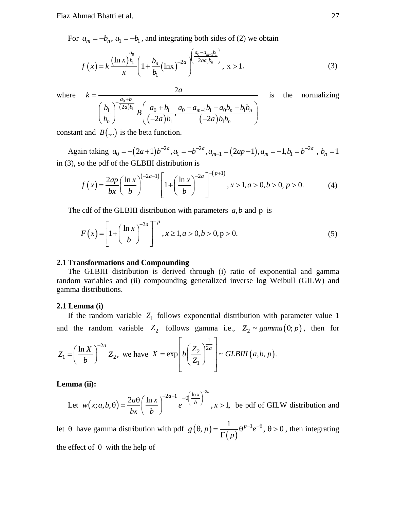For  $a_m = -b_n$ ,  $a_1 = -b_1$ , and integrating both sides of (2) we obtain

$$
f(x) = k \frac{(\ln x)^{\frac{a_0}{b_1}}}{x} \left( 1 + \frac{b_n}{b_1} (\ln x)^{-2a} \right)^{\left( \frac{a_0 - a_{m-1}b_1}{2a a_0 b_n} \right)}, \quad x > 1,
$$
 (3)

where  $k =$ 

$$
\frac{2a}{\left(\frac{b_1}{b_n}\right)^{-\frac{a_0+b_1}{(2a)b_1}}B\left(\frac{a_0+b_1}{(-2a)b_1}, \frac{a_0-a_{m-1}b_1-a_0b_n-b_1b_n}{(-2a)b_1b_n}\right)}
$$
 is

constant and  $B(.,.)$  is the beta function.

stant and  $B(.,.)$  is the beta function.<br>Again taking  $a_0 = -(2a+1)b^{-2a}$ ,  $a_1 = -b^{-2a}$ ,  $a_{m-1} = (2ap-1)$ ,  $a_m = -1$ ,  $b_1 = b^{-2a}$ ,  $b_n = 1$  $-(p+1)$ 

in (3), so the pdf of the GLBIII distribution is  
\n
$$
f(x) = \frac{2ap}{bx} \left( \frac{\ln x}{b} \right)^{(-2a-1)} \left[ 1 + \left( \frac{\ln x}{b} \right)^{-2a} \right]^{-(p+1)}, x > 1, a > 0, b > 0, p > 0.
$$
\n(4)

The cdf of the GLBIII distribution with parameters  $a, b$  and  $p$  is

For 
$$
F(x) = \left[1 + \left(\frac{\ln x}{b}\right)^{-2a}\right]^{-p}
$$
,  $x \ge 1, a > 0, b > 0, p > 0.$ 

#### **2.1 Transformations and Compounding**

The GLBIII distribution is derived through (i) ratio of exponential and gamma random variables and (ii) compounding generalized inverse log Weibull (GILW) and gamma distributions.

#### **2.1 Lemma (i)**

If the random variable  $Z_1$  follows exponential distribution with parameter value 1 and the random variable  $Z_2$  follows gamma i.e.,  $Z_2 \sim gamma(\theta; p)$ , then for

$$
Z_1 = \left(\frac{\ln X}{b}\right)^{-2a} Z_2, \text{ we have } X = \exp\left[b\left(\frac{Z_2}{Z_1}\right)^{\frac{1}{2a}}\right] \sim \text{GLBIII}(a, b, p).
$$

**Lemma (ii):**

Let 
$$
w(x; a, b, \theta) = \frac{2a\theta}{bx} \left(\frac{\ln x}{b}\right)^{-2a-1} e^{-\theta \left(\frac{\ln x}{b}\right)^{-2a}}, x > 1
$$
, be pdf of GILW distribution and

let  $\theta$  have gamma distribution with pdf  $g(\theta, p) = \frac{1}{\Gamma(p)}$  $g(\theta, p) = \frac{1}{\Gamma(p)} \theta^{p-1} e^{-\theta}, \theta > 0$ , then integrating the effect of  $\theta$  with the help of

the normalizing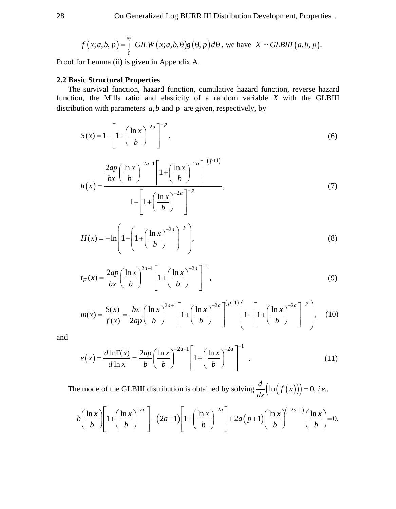$$
f(x;a,b,p) = \int_{0}^{\infty} GLW(x;a,b,\theta)g(\theta,p)d\theta
$$
, we have  $X \sim GLBIII(a,b,p)$ .

Proof for Lemma (ii) is given in Appendix A.

#### **2.2 Basic Structural Properties**

The survival function, hazard function, cumulative hazard function, reverse hazard function, the Mills ratio and elasticity of a random variable *X* with the GLBIII distribution with parameters  $a, b$  and  $p$  are given, respectively, by

$$
S(x) = 1 - \left[1 + \left(\frac{\ln x}{b}\right)^{-2a}\right]^{-p},\tag{6}
$$

$$
h(x) = \frac{\frac{2ap}{bx} \left(\frac{\ln x}{b}\right)^{-2a-1} \left[1 + \left(\frac{\ln x}{b}\right)^{-2a}\right]^{-(p+1)}}{1 - \left[1 + \left(\frac{\ln x}{b}\right)^{-2a}\right]^{-p}},\tag{7}
$$

$$
H(x) = -\ln\left(1 - \left(1 + \left(\frac{\ln x}{b}\right)^{-2a}\right)^{-p}\right),\tag{8}
$$

$$
r_F(x) = \frac{2ap}{bx} \left(\frac{\ln x}{b}\right)^{2a-1} \left[1 + \left(\frac{\ln x}{b}\right)^{-2a}\right]^{-1},
$$
\n(9)

$$
m(x) = \frac{S(x)}{f(x)} = \frac{bx}{2ap} \left(\frac{\ln x}{b}\right)^{2a+1} \left[1 + \left(\frac{\ln x}{b}\right)^{-2a}\right]^{(p+1)} \left[1 - \left[1 + \left(\frac{\ln x}{b}\right)^{-2a}\right]^{-p}\right], \quad (10)
$$

and

$$
e(x) = \frac{d \ln F(x)}{d \ln x} = \frac{2ap}{b} \left(\frac{\ln x}{b}\right)^{-2a-1} \left[1 + \left(\frac{\ln x}{b}\right)^{-2a}\right]^{-1}.
$$
 (11)

The mode of the GLBIII distribution is obtained by solving  $\frac{d}{dx}(\ln(f(x)))=0$ , *i.e.*,

The mode of the GLBIII distribution is obtained by solving 
$$
\frac{d}{dx}(\ln(f(x))) = 0
$$
, *i.e.*,  
\n
$$
-b\left(\frac{\ln x}{b}\right)\left[1+\left(\frac{\ln x}{b}\right)^{-2a}\right] - (2a+1)\left[1+\left(\frac{\ln x}{b}\right)^{-2a}\right] + 2a(p+1)\left(\frac{\ln x}{b}\right)^{-2a-1}\left(\frac{\ln x}{b}\right) = 0.
$$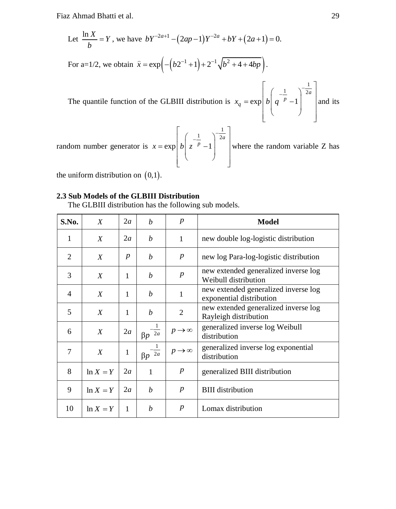Let 
$$
\frac{\ln X}{b} = Y
$$
, we have  $bY^{-2a+1} - (2ap - 1)Y^{-2a} + bY + (2a + 1) = 0$ .  
\nFor a=1/2, we obtain  $\hat{x} = \exp\left(-\left(b2^{-1} + 1\right) + 2^{-1}\sqrt{b^2 + 4 + 4bp}\right)$ .  
\nThe quantile function of the GLBIII distribution is  $x_q = \exp\left[b\left(q^{-\frac{1}{p}} - 1\right)^{-\frac{1}{2a}}\right]$  and its random number generator is  $x = \exp\left[b\left(\frac{-1}{2-p} - 1\right)^{-\frac{1}{2a}}\right]$  where the random variable Z has

random number generator is  $x = \exp \left[ b \left( z^{-\frac{1}{p}} - 1 \right)^{-\frac{1}{2a}} \right]$  wh where the random variable Z has

the uniform distribution on  $(0,1)$ .

#### **2.3 Sub Models of the GLBIII Distribution**

The GLBIII distribution has the following sub models.

| S.No.          | X                | 2a               | $\boldsymbol{h}$             | $\boldsymbol{p}$       | <b>Model</b>                                                     |  |
|----------------|------------------|------------------|------------------------------|------------------------|------------------------------------------------------------------|--|
| 1              | X                | 2a               | b                            | $\mathbf{1}$           | new double log-logistic distribution                             |  |
| 2              | X                | $\boldsymbol{p}$ | b                            | $\boldsymbol{p}$       | new log Para-log-logistic distribution                           |  |
| 3              | X                | 1                | b                            | $\boldsymbol{p}$       | new extended generalized inverse log<br>Weibull distribution     |  |
| $\overline{4}$ | X                | 1                | b                            | 1                      | new extended generalized inverse log<br>exponential distribution |  |
| 5              | X                | 1                | b                            | 2                      | new extended generalized inverse log<br>Rayleigh distribution    |  |
| 6              | $\boldsymbol{X}$ | 2a               | $\beta p^{-2a}$              | $p \rightarrow \infty$ | generalized inverse log Weibull<br>distribution                  |  |
| $\overline{7}$ | $\boldsymbol{X}$ | 1                | 1<br>$\beta p \overline{2a}$ | $p \rightarrow \infty$ | generalized inverse log exponential<br>distribution              |  |
| 8              | $ln X = Y$       | 2a               | 1                            | $\boldsymbol{p}$       | generalized BIII distribution                                    |  |
| 9              | $ln X = Y$       | 2a               | $\boldsymbol{b}$             | $\boldsymbol{p}$       | <b>BIII</b> distribution                                         |  |
| 10             | $ln X = Y$       | 1                | b                            | $\boldsymbol{p}$       | Lomax distribution                                               |  |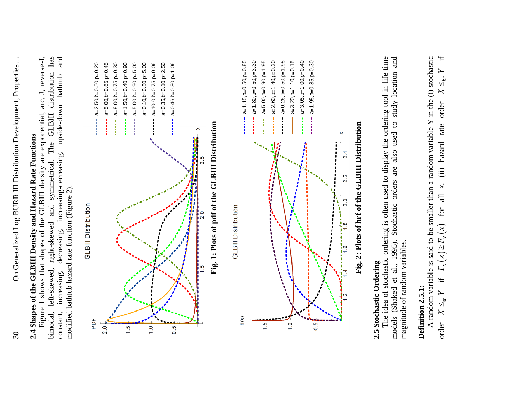# 2.4 Shapes of the GLBIII Density and Hazard Rate Functions **2.4 Shapes of the GLBIII Density and Hazard Rate Functions**

bimodal, left-skewed, right-skewed and symmetrical. The GLBIII distribution has has constant, increasing, decreasing, increasing-decreasing, upside-down bathtub and and Figure 1 shows that shapes of the GLBIII density are exponential, arc, J, reverse-J, Figure 1 shows that shapes of the GLBIII density are exponential, arc, J, reverse-J, left-skewed, right-skewed and symmetrical. The GLBIII distribution bathtub upside-down decreasing, increasing-decreasing, modified bathtub hazard rate function (Figure 2). modified bathtub hazard rate function (Figure 2). increasing, bimodal, constant,



## **2.5 Stochastic Ordering**  2.5 Stochastic Ordering

 The idea of stochastic ordering is often used to display the ordering tool in life time models (Shaked et al., 1995). Stochastic orders are also used to study location and The idea of stochastic ordering is often used to display the ordering tool in life time (Shaked et al., 1995). Stochastic orders are also used to study location and magnitude of random variables. magnitude of random variables. models

### Definition 2.5.1: **Definition 2.5.1:**

A random variable is said to be smaller than a random variable Y in the (i) stochastic if A random variable is said to be smaller than a random variable  $Y$  in the (i) stochastic  $X \leq_{hr}$ (ii) hazard rate order for all *x*, (ii) hazard rate order for all  $x$ ,  $F_x(x) \geq F_y(x)$  $F_x(x) \geq F_y(x)$ if  $X \leq_{\textnormal{sr}} Y$ order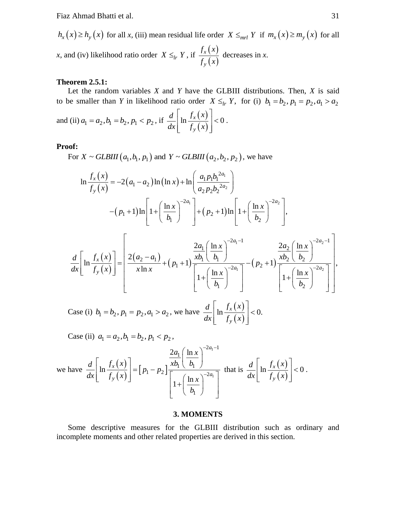$h_x(x) \ge h_y(x)$  for all *x*, (iii) mean residual life order  $X \le m_l Y$  if  $m_x(x) \ge m_y(x)$  for all *x*, and (iv) likelihood ratio order  $X \leq_h Y$ , if  $\frac{f_x(x)}{f_y(x)}$  $(x)$ *x y f x f x* decreases in *x*.

#### **Theorem 2.5.1:**

Let the random variables *X* and *Y* have the GLBIII distributions. Then, *X* is said to be smaller than *Y* in likelihood ratio order  $X \leq_{lr} Y$ , for (i)  $b_1 = b_2, p_1 = p_2, a_1 > a_2$ 

and (ii) 
$$
a_1 = a_2, b_1 = b_2, p_1 < p_2
$$
, if  $\frac{d}{dx} \left[ \ln \frac{f_x(x)}{f_y(x)} \right] < 0$ .

#### **Proof:**

**of:** For  $X \sim \text{GLBIII} (a_1, b_1, p_1)$  and  $Y \sim \text{GLBIII} (a_2, b_2, p_2)$ , we have

$$
X \sim GLBIII (a_1, b_1, p_1) \text{ and } Y \sim GLBIII (a_2, b_2, p_2), \text{ we have}
$$
  
\n
$$
\ln \frac{f_x(x)}{f_y(x)} = -2(a_1 - a_2) \ln(\ln x) + \ln \left( \frac{a_1 p_1 b_1^{2a_1}}{a_2 p_2 b_2^{2a_2}} \right)
$$
\n
$$
-(p_1 + 1) \ln \left[ 1 + \left( \frac{\ln x}{b_1} \right)^{-2a_1} \right] + (p_2 + 1) \ln \left[ 1 + \left( \frac{\ln x}{b_2} \right)^{-2a_2} \right],
$$
\n
$$
2a_1 (\ln x)^{-2a_1 - 1} \qquad 2a_2 (\ln x)^{-2a_2 - 1}
$$

$$
\frac{d}{dx}\left[\ln\frac{f_x(x)}{f_y(x)}\right] = \left[\frac{2(a_2-a_1)}{x\ln x} + (p_1+1)\frac{\frac{2a_1}{xb_1}\left(\frac{\ln x}{b_1}\right)^{-2a_1-1}}{\left[1+\left(\frac{\ln x}{b_1}\right)^{-2a_1}\right]} - (p_2+1)\frac{\frac{2a_2}{xb_2}\left(\frac{\ln x}{b_2}\right)^{-2a_2-1}}{\left[1+\left(\frac{\ln x}{b_2}\right)^{-2a_2}\right]}\right],
$$

Case (i)  $b_1 = b_2$ ,  $p_1 = p_2$ ,  $a_1 > a_2$ , we have  $\frac{d}{dx} \left| \ln \frac{f_x(x)}{f_y(x)} \right|$  $(x)$  $\ln \frac{J_x(\lambda)}{J_x(\lambda)}$  < 0. *y*  $d \mid f_x(x)$  $dx \vert$   $\int_{y}^{x} f_{y}(x)$  $\left[ f_x(x) \right]$  $\ln \frac{J_x(x)}{c}$  | <  $\left[ -f_{y}(x)\right]$ 

Case (ii)  $a_1 = a_2, b_1 = b_2, p_1 < p_2$ ,

$$
\text{we have } \frac{d}{dx} \left[ \ln \frac{f_x(x)}{f_y(x)} \right] = \left[ p_1 - p_2 \right] \frac{\frac{2a_1}{xb_1} \left( \frac{\ln x}{b_1} \right)^{-2a_1 - 1}}{\left[ 1 + \left( \frac{\ln x}{b_1} \right)^{-2a_1} \right]} \text{ that is } \frac{d}{dx} \left[ \ln \frac{f_x(x)}{f_y(x)} \right] < 0 \,.
$$

#### **3. MOMENTS**

Some descriptive measures for the GLBIII distribution such as ordinary and incomplete moments and other related properties are derived in this section.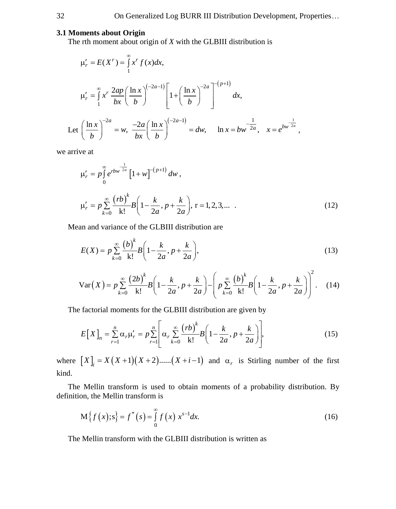#### **3.1 Moments about Origin**

The rth moment about origin of *X* with the GLBIII distribution is

$$
\mu'_{r} = E(X^{r}) = \int_{1}^{\infty} x^{r} f(x) dx,
$$
  
\n
$$
\mu'_{r} = \int_{1}^{\infty} x^{r} \frac{2ap}{bx} \left(\frac{\ln x}{b}\right)^{(-2a-1)} \left[1 + \left(\frac{\ln x}{b}\right)^{-2a}\right]^{-(p+1)} dx,
$$
  
\nLet  $\left(\frac{\ln x}{b}\right)^{-2a} = w, \quad \frac{-2a}{bx} \left(\frac{\ln x}{b}\right)^{(-2a-1)} = dw, \quad \ln x = bw^{-\frac{1}{2a}}, \quad x = e^{bw^{\frac{1}{2a}}},$ 

we arrive at

$$
\mu'_{r} = p \int_{0}^{\infty} e^{rbw^{\frac{1}{2a}}} \left[ 1 + w \right]^{-(p+1)} dw ,
$$
  

$$
\mu'_{r} = p \sum_{k=0}^{\infty} \frac{(rb)^{k}}{k!} B \left( 1 - \frac{k}{2a}, p + \frac{k}{2a} \right), r = 1, 2, 3, ... \quad .
$$
 (12)

,

Mean and variance of the GLBIII distribution are

$$
E(X) = p \sum_{k=0}^{\infty} \frac{(b)^k}{k!} B\left(1 - \frac{k}{2a}, p + \frac{k}{2a}\right),
$$
 (13)

$$
E(X) = p \sum_{k=0}^{\infty} \frac{(2b)^k}{k!} B\left(1 - \frac{k}{2a}, p + \frac{k}{2a}\right)
$$
\n
$$
Var(X) = p \sum_{k=0}^{\infty} \frac{(2b)^k}{k!} B\left(1 - \frac{k}{2a}, p + \frac{k}{2a}\right) - \left(p \sum_{k=0}^{\infty} \frac{(b)^k}{k!} B\left(1 - \frac{k}{2a}, p + \frac{k}{2a}\right)\right)^2.
$$
\n(14)

The factorial moments for the GLBIII distribution are given by  
\n
$$
E[X]_n = \sum_{r=1}^n \alpha_r \mu'_r = p \sum_{r=1}^n \left[ \alpha_r \sum_{k=0}^\infty \frac{(rb)^k}{k!} B\left(1 - \frac{k}{2a}, p + \frac{k}{2a}\right) \right],
$$
\n(15)

where  $[X]_i = X(X+1)(X+2)$ ...... $(X+i-1)$  and  $\alpha_r$  is Stirling number of the first kind.

The Mellin transform is used to obtain moments of a probability distribution. By definition, the Mellin transform is

$$
M\{f(x);s\} = f^*(s) = \int_{0}^{\infty} f(x) x^{s-1} dx.
$$
 (16)

The Mellin transform with the GLBIII distribution is written as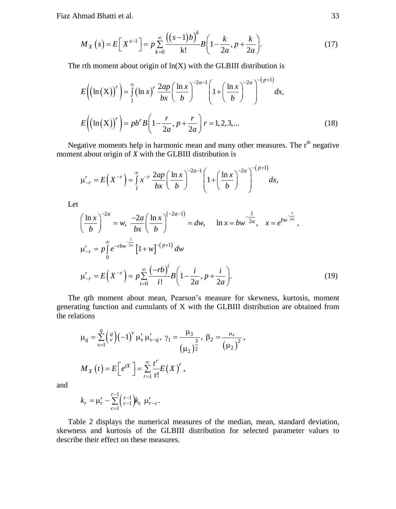$$
M_X\left(s\right) = E\left[X^{s-1}\right] = p\sum_{k=0}^{\infty} \frac{\left(\left(s-1\right)b\right)^k}{k!} B\left(1 - \frac{k}{2a}, p + \frac{k}{2a}\right). \tag{17}
$$

The rth moment about origin of ln(X) with the GLBIII distribution is  
\n
$$
E((\ln(X))') = \int_{1}^{\infty} (\ln x)^{r} \frac{2ap}{bx} \left(\frac{\ln x}{b}\right)^{-2a-1} \left(1 + \left(\frac{\ln x}{b}\right)^{-2a}\right)^{-(p+1)} dx,
$$
\n
$$
E((\ln(X))') = pb^{r} B\left(1 - \frac{r}{2a}, p + \frac{r}{2a}\right) r = 1, 2, 3, ... \tag{18}
$$

Negative moments help in harmonic mean and many other measures. The r<sup>th</sup> negative

moment about origin of *X* with the GLBIII distribution is  
\n
$$
\mu'_{-r} = E\left(X^{-r}\right) = \int_{1}^{\infty} x^{-r} \frac{2ap}{bx} \left(\frac{\ln x}{b}\right)^{-2a-1} \left(1 + \left(\frac{\ln x}{b}\right)^{-2a}\right)^{-(p+1)} dx,
$$

Let

$$
\left(\frac{\ln x}{b}\right)^{-2a} = w, \quad \frac{-2a}{bx} \left(\frac{\ln x}{b}\right)^{(-2a-1)} = dw, \quad \ln x = bw^{\frac{1}{2a}}, \quad x = e^{bw^{\frac{1}{2a}},}
$$
\n
$$
\mu'_{-r} = p \int_{0}^{\infty} e^{-rbw^{\frac{1}{2a}}} \left[1 + w\right]^{-(p+1)} dw
$$
\n
$$
\mu'_{-r} = E\left(X^{-r}\right) = p \sum_{i=0}^{\infty} \frac{(-rb)^i}{i!} B\left(1 - \frac{i}{2a}, p + \frac{i}{2a}\right).
$$
\n(19)

The qth moment about mean, Pearson's measure for skewness, kurtosis, moment generating function and cumulants of X with the GLBIII distribution are obtained from the relations

$$
\mu_q = \sum_{\nu=1}^q \binom{q}{\nu} (-1)^{\nu} \mu'_{\nu} \mu'_{\nu-q}, \ \gamma_1 = \frac{\mu_3}{(\mu_2)^{\frac{3}{2}}}, \ \beta_2 = \frac{\mu_4}{(\mu_2)^2},
$$

$$
M_X(t) = E\Big[e^{tX}\Big] = \sum_{r=1}^\infty \frac{t^r}{r!} E(X)^r,
$$

and

$$
k_r = \mu'_r - \sum_{c=1}^{r-1} {r-1 \choose c-1} k_c \mu'_{r-c}.
$$

Table 2 displays the numerical measures of the median, mean, standard deviation, skewness and kurtosis of the GLBIII distribution for selected parameter values to describe their effect on these measures.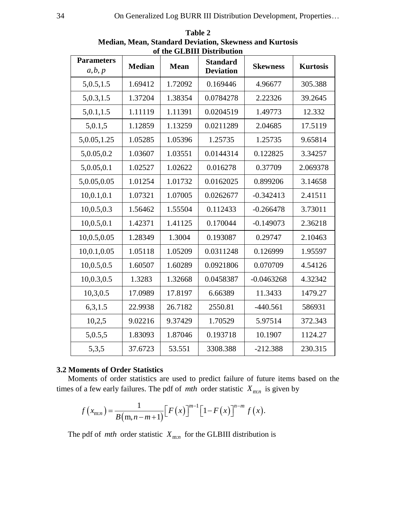|                              | of the GLDIII Distribution |             |                                     |                 |                 |  |  |  |  |
|------------------------------|----------------------------|-------------|-------------------------------------|-----------------|-----------------|--|--|--|--|
| <b>Parameters</b><br>a, b, p | Median                     | <b>Mean</b> | <b>Standard</b><br><b>Deviation</b> | <b>Skewness</b> | <b>Kurtosis</b> |  |  |  |  |
| 5,0.5,1.5                    | 1.69412                    | 1.72092     | 0.169446                            | 4.96677         | 305.388         |  |  |  |  |
| 5,0.3,1.5                    | 1.37204                    | 1.38354     | 0.0784278                           | 2.22326         | 39.2645         |  |  |  |  |
| 5,0.1,1.5                    | 1.11119                    | 1.11391     | 0.0204519                           | 1.49773         | 12.332          |  |  |  |  |
| 5,0.1,5                      | 1.12859                    | 1.13259     | 0.0211289                           | 2.04685         | 17.5119         |  |  |  |  |
| 5,0.05,1.25                  | 1.05285                    | 1.05396     | 1.25735                             | 1.25735         | 9.65814         |  |  |  |  |
| 5,0.05,0.2                   | 1.03607                    | 1.03551     | 0.0144314                           | 0.122825        | 3.34257         |  |  |  |  |
| 5,0.05,0.1                   | 1.02527                    | 1.02622     | 0.016278                            | 0.37709         | 2.069378        |  |  |  |  |
| 5,0.05,0.05                  | 1.01254                    | 1.01732     | 0.0162025                           | 0.899206        | 3.14658         |  |  |  |  |
| 10,0.1,0.1                   | 1.07321                    | 1.07005     | 0.0262677                           | $-0.342413$     | 2.41511         |  |  |  |  |
| 10,0.5,0.3                   | 1.56462                    | 1.55504     | 0.112433                            | $-0.266478$     | 3.73011         |  |  |  |  |
| 10, 0.5, 0.1                 | 1.42371                    | 1.41125     | 0.170044                            | $-0.149073$     | 2.36218         |  |  |  |  |
| 10,0.5,0.05                  | 1.28349                    | 1.3004      | 0.193087                            | 0.29747         | 2.10463         |  |  |  |  |
| 10,0.1,0.05                  | 1.05118                    | 1.05209     | 0.0311248                           | 0.126999        | 1.95597         |  |  |  |  |
| 10,0.5,0.5                   | 1.60507                    | 1.60289     | 0.0921806                           | 0.070709        | 4.54126         |  |  |  |  |
| 10,0.3,0.5                   | 1.3283                     | 1.32668     | 0.0458387                           | $-0.0463268$    | 4.32342         |  |  |  |  |
| 10,3,0.5                     | 17.0989                    | 17.8197     | 6.66389                             | 11.3433         | 1479.27         |  |  |  |  |
| 6,3,1.5                      | 22.9938                    | 26.7182     | 2550.81                             | $-440.561$      | 586931          |  |  |  |  |
| 10,2,5                       | 9.02216                    | 9.37429     | 1.70529                             | 5.97514         | 372.343         |  |  |  |  |
| 5,0.5,5                      | 1.83093                    | 1.87046     | 0.193718                            | 10.1907         | 1124.27         |  |  |  |  |
| 5,3,5                        | 37.6723                    | 53.551      | 3308.388                            | $-212.388$      | 230.315         |  |  |  |  |

**Table 2 Median, Mean, Standard Deviation, Skewness and Kurtosis of the GLBIII Distribution**

#### **3.2 Moments of Order Statistics**

Moments of order statistics are used to predict failure of future items based on the times of a few early failures. The pdf of *mth* order statistic  $X_{m:n}$  is given by

$$
f(x_{\text{m}:n}) = \frac{1}{B(\text{m}:n-m+1)} \Big[ F(x) \Big]^{m-1} \Big[ 1 - F(x) \Big]^{n-m} f(x).
$$

The pdf of *mth* order statistic  $X_{m:n}$  for the GLBIII distribution is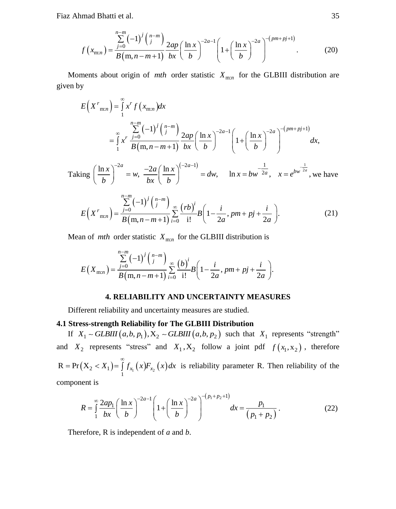$$
f(x_{\text{m}:n}) = \frac{\sum_{j=0}^{n-m} (-1)^j {n-m \choose j}}{B(m,n-m+1)} \frac{2ap}{bx} \left(\frac{\ln x}{b}\right)^{-2a-1} \left(1 + \left(\frac{\ln x}{b}\right)^{-2a}\right)^{-(pm+pi+1)}
$$
(20)

Moments about origin of *mth* order statistic  $X_{m:n}$  for the GLBIII distribution are given by

$$
E(X^{r}_{mn}) = \int_{1}^{\infty} x^{r} f(x_{mn}) dx
$$
  
\n
$$
= \int_{1}^{\infty} x^{r} \frac{\sum_{j=0}^{n-m} (-1)^{j} {n-m \choose j}}{B(m, n-m+1)} \frac{2ap}{bx} \left(\frac{\ln x}{b}\right)^{-2a-1} \left(1 + \left(\frac{\ln x}{b}\right)^{-2a}\right)^{-(pm+pj+1)} dx,
$$
  
\n
$$
\lim_{m \to \infty} \left(\frac{\ln x}{b}\right)^{-2a} = w \frac{-2a}{b} \left(\frac{\ln x}{b}\right)^{(-2a-1)} = dw \quad \ln x = bw^{\frac{1}{2a}} \quad x = e^{bw^{\frac{1}{2a}}} \text{ we have}
$$

Taking  $\left(\frac{\ln x}{b}\right)^{-2a} = w, \frac{-2a}{bx} \left(\frac{\ln x}{b}\right)^{(-2a-1)} = dw, \quad \ln x = bw^{\frac{-1}{2a}}, \quad x = e^{bw^{\frac{-1}{2a}}},$  $\left(\frac{\ln x}{b}\right)^{-2a} = w, \frac{-2a}{bx} \left(\frac{\ln x}{b}\right)^{(-2a-1)} = dw, \quad \ln x = bw^{\frac{1}{2a}}, \quad x = e^{bw^{\frac{1}{2a}}, v}$ we have

$$
E(X^{r}_{m:n}) = \frac{\sum_{j=0}^{n-m} (-1)^{j} {n-m \choose j}}{B(m, n-m+1)} \sum_{i=0}^{\infty} \frac{(rb)^{i}}{i!} B\left(1 - \frac{i}{2a}, pm + pj + \frac{i}{2a}\right).
$$
 (21)

Mean of *mth* order statistic 
$$
X_{m:n}
$$
 for the GLBIII distribution is  
\n
$$
E(X_{m:n}) = \frac{\sum_{j=0}^{n-m} (-1)^j {n-m \choose j}}{B(m, n-m+1)} \sum_{i=0}^{\infty} \frac{(b)^i}{i!} B\left(1 - \frac{i}{2a}, pm + pj + \frac{i}{2a}\right).
$$

#### **4. RELIABILITY AND UNCERTAINTY MEASURES**

Different reliability and uncertainty measures are studied.

#### **4.1 Stress-strength Reliability for The GLBIII Distribution**

**Stress-strength Reliability for The GLBIII Distribution**<br>If  $X_1 \sim \text{GLBIII}(a,b,p_1), X_2 \sim \text{GLBIII}(a,b,p_2)$  such that  $X_1$  represents "strength" and  $X_2$  represents "stress" and  $X_1, X_2$  follow a joint pdf  $f(x_1, x_2)$ , therefore  $R = Pr(X_2 < X_1) = \int_{1}^{\infty} f_{X_1}(x) F_{X_2}(x) dx$  is reliability parameter R. Then reliability of the

component is

nent is  
\n
$$
R = \int_{1}^{\infty} \frac{2ap_1}{bx} \left( \frac{\ln x}{b} \right)^{-2a-1} \left( 1 + \left( \frac{\ln x}{b} \right)^{-2a} \right)^{-(p_1 + p_2 + 1)} dx = \frac{p_1}{(p_1 + p_2)}.
$$
\n(22)

Therefore, R is independent of *a* and *b*.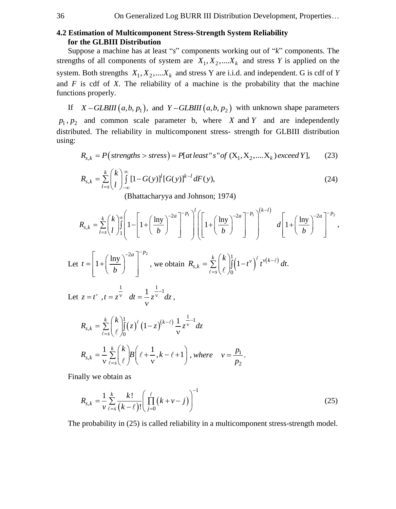#### 36 On Generalized Log BURR III Distribution Development, Properties…

#### **4.2 Estimation of Multicomponent Stress-Strength System Reliability for the GLBIII Distribution**

 Suppose a machine has at least "*s*" components working out of "*k*" components. The strengths of all components of system are  $X_1, X_2, \dots, X_k$  and stress *Y* is applied on the system. Both strengths  $X_1, X_2, \dots, X_k$  and stress Y are i.i.d. and independent. G is cdf of *Y* and  $F$  is cdf of  $X$ . The reliability of a machine is the probability that the machine functions properly.

If  $X \sim GLBIII(a, b, p_1)$ , and  $Y \sim GLBIII(a, b, p_2)$  with unknown shape parameters  $p_1, p_2$  and common scale parameter b, where *X* and *Y* and are independently distributed. The reliability in multicomponent stress- strength for GLBIII distribution using:<br>  $R_{s,k} = P \left( \text{strengths} > \text{stress} \right) = P \left[ \text{at least "s" of } (X_1, X_2, ..., X_k) \text{ exceed } Y \right],$  (23) using:

$$
R_{s,k} = P\big(\text{strengths} > \text{stress}\big) = P\big[\text{at least} \text{``s" of } (X_1, X_2, \dots, X_k) \text{ exceed } Y\big],\tag{23}
$$

$$
R_{s,k} = \sum_{l=s}^{k} {k \choose l} \int_{-\infty}^{\infty} [1 - G(y)]^{l} [G(y)]^{k-l} dF(y), \qquad (24)
$$

$$
l=s(l)_{-\infty}
$$
\n(Bhattacharyya and Johnson; 1974)

\n
$$
R_{s,k} = \sum_{l=s}^{k} {k \choose l} \int_{1}^{\infty} \left[1 - \left[1 + \left(\frac{\ln y}{b}\right)^{-2a}\right]^{-p_1}\right]^{l} \left[\left[1 + \left(\frac{\ln y}{b}\right)^{-2a}\right]^{-p_1}\right]^{(k-l)} d\left[1 + \left(\frac{\ln y}{b}\right)^{-2a}\right]^{-p_2},
$$

Let 
$$
t = \left[1 + \left(\frac{\ln y}{b}\right)^{-2a}\right]^{-p_2}
$$
, we obtain  $R_{s,k} = \sum_{\ell=s}^k {k \choose \ell} \int_0^1 (1-t^{\nu})^{\ell} t^{\nu(k-\ell)} dt$ .

Let  $z = t^{\nu}$ ,  $t = z^{\nu}$   $dt = \frac{1}{\nu} z^{\frac{1}{\nu} - 1} dz$ ,

$$
R_{s,k} = \sum_{\ell=s}^{k} {k \choose \ell} \int_{0}^{1} (z)^{\ell} (1-z)^{(k-\ell)} \frac{1}{v} z^{\frac{1}{v}-1} dz
$$
  

$$
R_{s,k} = \frac{1}{v} \sum_{\ell=s}^{k} {k \choose \ell} B(\ell + \frac{1}{v}, k-\ell+1), where \quad v = \frac{p_1}{p_2}
$$

Finally we obtain as

$$
R_{s,k} = \frac{1}{\nu} \sum_{\ell=s}^{k} \frac{k!}{(k-\ell)!} \left( \prod_{j=0}^{\ell} (k+\nu-j) \right)^{-1}
$$
 (25)

.

The probability in (25) is called reliability in a multicomponent stress-strength model.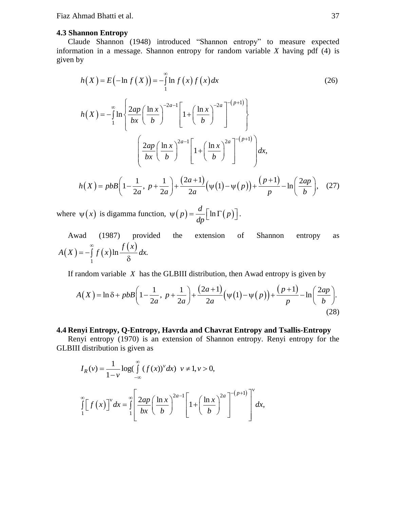#### **4.3 Shannon Entropy**

Claude Shannon (1948) introduced "Shannon entropy" to measure expected information in a message. Shannon entropy for random variable *X* having pdf (4) is given by

$$
h(X) = E(-\ln f(X)) = -\int_{1}^{\infty} \ln f(x) f(x) dx
$$
\n(26)  
\n
$$
h(X) = -\int_{1}^{\infty} \ln \left\{ \frac{2ap}{bx} \left( \frac{\ln x}{b} \right)^{-2a-1} \left[ 1 + \left( \frac{\ln x}{b} \right)^{-2a} \right]^{-(p+1)} \right\}
$$
\n
$$
\left( \frac{2ap}{bx} \left( \frac{\ln x}{b} \right)^{2a-1} \left[ 1 + \left( \frac{\ln x}{b} \right)^{2a} \right]^{-(p+1)} \right) dx,
$$
\n
$$
h(X) = p b B \left( 1 - \frac{1}{2a}, \ p + \frac{1}{2a} \right) + \frac{(2a+1)}{2a} \left( \psi(1) - \psi(p) \right) + \frac{(p+1)}{p} - \ln \left( \frac{2ap}{b} \right), \quad (27)
$$

where  $\psi(x)$  is digamma function,  $\psi(p) = \frac{d}{dp} \Big[ \ln \Gamma(p) \Big]$ .

Awad (1987) provided the extension of Shannon entropy as  $(X) = -\int_{0}^{\infty} f(x) \ln \frac{f(x)}{x}$ 1  $A(X) = -\int_{1}^{\infty} f(x) \ln \frac{f(x)}{\delta} dx.$ 

If random variable *X* has the GLBIII distribution, then Awad entropy is given by

random variable *X* has the GLBIII distribution, then Award entropy is given by  
\n
$$
A(X) = \ln \delta + p \cdot b \cdot B \left( 1 - \frac{1}{2a}, \ p + \frac{1}{2a} \right) + \frac{(2a+1)}{2a} \left( \psi(1) - \psi(p) \right) + \frac{(p+1)}{p} - \ln \left( \frac{2ap}{b} \right).
$$
\n(28)

#### **4.4 Renyi Entropy, Q-Entropy, Havrda and Chavrat Entropy and Tsallis-Entropy**

Renyi entropy (1970) is an extension of Shannon entropy. Renyi entropy for the GLBIII distribution is given as

$$
I_R(v) = \frac{1}{1 - v} \log \left( \int_{-\infty}^{\infty} (f(x))^v dx \right) v \neq 1, v > 0,
$$
  

$$
\int_{1}^{\infty} \left[ f(x) \right]^v dx = \int_{1}^{\infty} \left[ \frac{2ap}{bx} \left( \frac{\ln x}{b} \right)^{2a-1} \left[ 1 + \left( \frac{\ln x}{b} \right)^{2a} \right]^{-\left(p+1\right)} \right]^v dx,
$$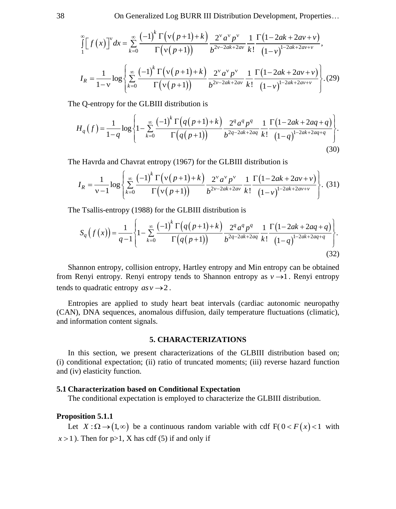38 On Generalized Log BURR III Distribution Development, Properties...  
\n
$$
\int_{1}^{\infty} \left[ f(x) \right]^{v} dx = \sum_{k=0}^{\infty} \frac{(-1)^{k} \Gamma(v(p+1)+k)}{\Gamma(v(p+1))} \frac{2^{v} a^{v} p^{v}}{b^{2v-2ak+2av}} \frac{1}{k!} \frac{\Gamma(1-2ak+2av+v)}{(1-v)^{1-2ak+2av+v}},
$$
\n
$$
I_{R} = \frac{1}{1-v} \log \left\{ \sum_{k=0}^{\infty} \frac{(-1)^{k} \Gamma(v(p+1)+k)}{\Gamma(v(p+1))} \frac{2^{v} a^{v} p^{v}}{b^{2v-2ak+2av}} \frac{1}{k!} \frac{\Gamma(1-2ak+2av+v)}{(1-v)^{1-2ak+2av+v}} \right\}.
$$
\n(29)

*k*

The Q-entropy for the GLBIII distribution is  
\n
$$
H_q(f) = \frac{1}{1-q} \log \left\{ 1 - \sum_{k=0}^{\infty} \frac{(-1)^k \Gamma(q(p+1)+k)}{\Gamma(q(p+1))} \frac{2^q a^q p^q}{b^{2q-2ak+2aq}} \frac{1}{k!} \frac{\Gamma(1-2ak+2aq+q)}{(1-q)^{1-2ak+2aq+q}} \right\}.
$$
\n(30)

The Havrda and Chavrat entropy (1967) for the GLBIII distribution is  
\n
$$
I_R = \frac{1}{v-1} \log \left\{ \sum_{k=0}^{\infty} \frac{(-1)^k \Gamma(v(p+1)+k)}{\Gamma(v(p+1))} \frac{2^v a^v p^v}{b^{2v-2ak+2av}} \frac{1}{k!} \frac{\Gamma(1-2ak+2av+v)}{(1-v)^{1-2ak+2av+v}} \right\}.
$$
\n(31)

The Tsallis-entropy (1988) for the GLBIII distribution is

$$
\text{is a certain expression:} \ \n\text{is-entropy (1988) for the GLBIII distribution is}\n\[\nS_q\left(f(x)\right) = \frac{1}{q-1} \left\{ 1 - \sum_{k=0}^{\infty} \frac{(-1)^k \Gamma\left(q(p+1)+k\right)}{\Gamma\left(q(p+1)\right)} \frac{2^q a^q p^q}{b^{2q-2ak+2aq}} \frac{1}{k!} \frac{\Gamma\left(1-2ak+2aq+q\right)}{(1-q)^{1-2ak+2aq+q}} \right\}.\n\]\n\tag{32}
$$

Shannon entropy, collision entropy, Hartley entropy and Min entropy can be obtained from Renyi entropy. Renyi entropy tends to Shannon entropy as  $v \rightarrow 1$ . Renyi entropy tends to quadratic entropy  $asv \rightarrow 2$ .

Entropies are applied to study heart beat intervals (cardiac autonomic neuropathy (CAN), DNA sequences, anomalous diffusion, daily temperature fluctuations (climatic), and information content signals.

#### **5. CHARACTERIZATIONS**

In this section, we present characterizations of the GLBIII distribution based on; (i) conditional expectation; (ii) ratio of truncated moments; (iii) reverse hazard function and (iv) elasticity function.

#### **5.1 Characterization based on Conditional Expectation**

The conditional expectation is employed to characterize the GLBIII distribution.

#### **Proposition 5.1.1**

Let  $X : \Omega \to (1, \infty)$  be a continuous random variable with cdf  $F(0 < F(x) < 1$  with  $x > 1$ ). Then for  $p > 1$ , X has cdf (5) if and only if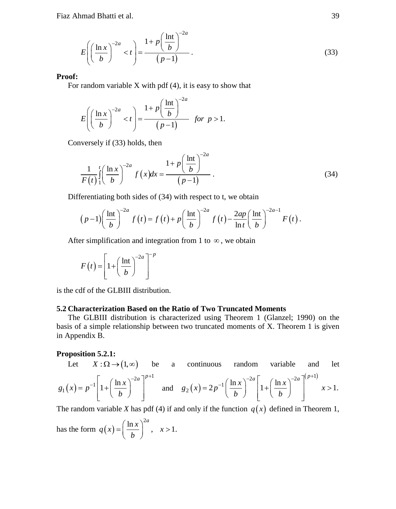$$
E\left(\left(\frac{\ln x}{b}\right)^{-2a} < t\right) = \frac{1 + p\left(\frac{\ln t}{b}\right)^{-2a}}{(p-1)}\tag{33}
$$

#### **Proof:**

For random variable  $X$  with pdf  $(4)$ , it is easy to show that

$$
E\left(\left(\frac{\ln x}{b}\right)^{-2a} < t\right) = \frac{1 + p\left(\frac{\ln t}{b}\right)^{-2a}}{(p-1)} \quad \text{for } p > 1.
$$

Conversely if (33) holds, then

$$
\frac{1}{F(t)}\int_{1}^{t} \left(\frac{\ln x}{b}\right)^{-2a} f(x)dx = \frac{1 + p\left(\frac{\ln t}{b}\right)^{-2a}}{(p-1)}.
$$
\n(34)

Differentiating both sides of (34) with respect to t, we obtain  
\n
$$
(p-1)\left(\frac{\ln t}{b}\right)^{-2a} f(t) = f(t) + p\left(\frac{\ln t}{b}\right)^{-2a} f(t) - \frac{2ap}{\ln t}\left(\frac{\ln t}{b}\right)^{-2a-1} F(t).
$$

After simplification and integration from 1 to  $\infty$ , we obtain

$$
F(t) = \left[1 + \left(\frac{\ln t}{b}\right)^{-2a}\right]^{-p}
$$

is the cdf of the GLBIII distribution.

#### **5.2 Characterization Based on the Ratio of Two Truncated Moments**

The GLBIII distribution is characterized using Theorem 1 (Glanzel; 1990) on the basis of a simple relationship between two truncated moments of X. Theorem 1 is given in Appendix B.

#### **Proposition 5.2.1:**

Let 
$$
X: \Omega \to (1, \infty)
$$
 be a continuous random variable and let  
\n $g_1(x) = p^{-1} \left[ 1 + \left( \frac{\ln x}{b} \right)^{-2a} \right]^{p+1}$  and  $g_2(x) = 2p^{-1} \left( \frac{\ln x}{b} \right)^{-2a} \left[ 1 + \left( \frac{\ln x}{b} \right)^{-2a} \right]^{(p+1)} x > 1.$ 

The random variable *X* has pdf (4) if and only if the function  $q(x)$  defined in Theorem 1,

has the form 
$$
q(x) = \left(\frac{\ln x}{b}\right)^{2a}
$$
,  $x > 1$ .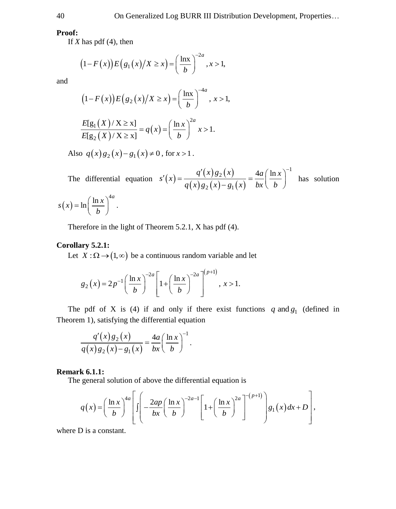#### **Proof:**

If  $X$  has pdf  $(4)$ , then

has pdf (4), then  
\n
$$
(1 - F(x))E(g_1(x)/X \ge x) = \left(\frac{\ln x}{b}\right)^{-2a}, x > 1,
$$

and

$$
(1 - F(x))E(g_2(x)/X \ge x) = \left(\frac{\ln x}{b}\right)^{-4a}, x > 1,
$$
  

$$
\frac{E[g_1(X)/X \ge x]}{E[g_2(X)/X]} = a(x) = \left(\frac{\ln x}{b}\right)^{2a} x > 1
$$

$$
\frac{E[g_1(X)/X \ge x]}{E[g_2(X)/X \ge x]} = q(x) = \left(\frac{\ln x}{b}\right)^{2a} x > 1.
$$

Also  $q(x)g_2(x)-g_1(x) \neq 0$ , for  $x > 1$ .

The differential equation  $s'(x) = \frac{q'(x)g_2(x)}{q(x)g_2(x) - q(x)g_1(x)} = \frac{1}{2}$  $\frac{q'(x)g_2(x)}{(x)g_2(x)-g_1(x)} = \frac{4a}{bx} \left(\frac{\ln x}{b}\right)^{-1}$  $s'(x) = \frac{q'(x)g_2(x)}{q(x)g_2(x)} = \frac{4a}{bx} \left( \frac{\ln x}{b} \right)$  $f'(x) = \frac{q'(x)g_2(x)}{q(x)g_2(x) - g_1(x)} = \frac{4a}{bx} \left(\frac{\ln x}{b}\right)^{-1}$  has solution >1.<br> $q'(x)g_2(x)$ <br> $q(x)g_2(x)-g_1(x) = \frac{4a}{bx} \left(\frac{\ln x}{b}\right)$ 

$$
s(x) = \ln\left(\frac{\ln x}{b}\right)^{4a}.
$$

Therefore in the light of Theorem 5.2.1, X has pdf (4).

#### **Corollary 5.2.1:**

Let  $X : \Omega \to (1, \infty)$  be a continuous random variable and let<br> $\lim_{(1, \infty)^{-2a}} \int_{-\infty}^{\infty} (1, \infty)^{-2a} \Big|^{(p+1)}$ 

$$
g_2(x) = 2p^{-1} \left( \frac{\ln x}{b} \right)^{-2a} \left[ 1 + \left( \frac{\ln x}{b} \right)^{-2a} \right]^{(p+1)}, x > 1.
$$

The pdf of X is (4) if and only if there exist functions q and  $g_1$  (defined in Theorem 1), satisfying the differential equation<br>  $\frac{q'(x)g_2(x)}{q(x)g_2(x)-g_1(x)} = \frac{4a}{bx} \left(\frac{\ln x}{b}\right)^{-1}$ . Theorem 1), satisfying the differential equation

$$
\frac{q'(x)g_2(x)}{q(x)g_2(x)-g_1(x)} = \frac{4a}{bx} \left(\frac{\ln x}{b}\right)^{-1}.
$$

#### **Remark 6.1.1:**

**Remark 6.1.1:**  
The general solution of above the differential equation is  

$$
q(x) = \left(\frac{\ln x}{b}\right)^{4a} \left[ \int \left(-\frac{2ap}{bx}\left(\frac{\ln x}{b}\right)^{-2a-1} \left[1+\left(\frac{\ln x}{b}\right)^{2a}\right]^{-\left(p+1\right)}\right] g_1(x) dx + D \right],
$$

where D is a constant.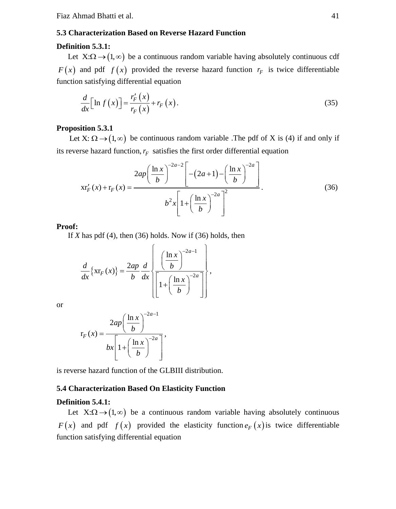#### **5.3 Characterization Based on Reverse Hazard Function**

#### **Definition 5.3.1:**

Let  $X:\Omega \to (1,\infty)$  be a continuous random variable having absolutely continuous cdf  $F(x)$  and pdf  $f(x)$  provided the reverse hazard function  $r_F$  is twice differentiable function satisfying differential equation

$$
\frac{d}{dx}\Big[\ln f\left(x\right)\Big] = \frac{r_F'\left(x\right)}{r_F\left(x\right)} + r_F\left(x\right). \tag{35}
$$

#### **Proposition 5.3.1**

Let X:  $\Omega \rightarrow (1, \infty)$  be continuous random variable. The pdf of X is (4) if and only if

its reverse hazard function, 
$$
r_F
$$
 satisfies the first order differential equation  
\n
$$
x r'_F(x) + r_F(x) = \frac{2ap\left(\frac{\ln x}{b}\right)^{-2a-2}\left[-(2a+1)-\left(\frac{\ln x}{b}\right)^{-2a}\right]}{b^2 x \left[1+\left(\frac{\ln x}{b}\right)^{-2a}\right]^2}.
$$
\n(36)

**Proof:**

If *X* has pdf (4), then (36) holds. Now if (36) holds, then  $\left(\frac{1}{2}e^{(\ln x)^{-2a-1}}\right)$ 

$$
\frac{d}{dx}\left\{\operatorname{xr}_{F}(x)\right\} = \frac{2ap}{b}\frac{d}{dx}\left\{\frac{\left(\frac{\ln x}{b}\right)^{-2a-1}}{\left[1+\left(\frac{\ln x}{b}\right)^{-2a}}\right]}\right\},\,
$$

or

$$
r_F(x) = \frac{2ap\left(\frac{\ln x}{b}\right)^{-2a-1}}{bx\left[1+\left(\frac{\ln x}{b}\right)^{-2a}\right]},
$$

is reverse hazard function of the GLBIII distribution.

#### **5.4 Characterization Based On Elasticity Function**

#### **Definition 5.4.1:**

Let  $X:\Omega \to (1,\infty)$  be a continuous random variable having absolutely continuous  $F(x)$  and pdf  $f(x)$  provided the elasticity function  $e_F(x)$  is twice differentiable function satisfying differential equation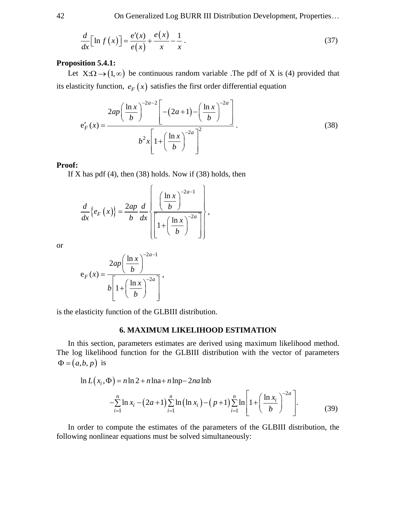42 On Generalized Log BURR III Distribution Development, Properties…

$$
\frac{d}{dx}\left[\ln f\left(x\right)\right] = \frac{e'(x)}{e\left(x\right)} + \frac{e\left(x\right)}{x} - \frac{1}{x}.
$$
\n(37)

#### **Proposition 5.4.1:**

Let  $X:\Omega \to (1,\infty)$  be continuous random variable. The pdf of X is (4) provided that its elasticity function,  $e_F(x)$  satisfies the first order differential equation

$$
e'_{F}(x) = \frac{2ap\left(\frac{\ln x}{b}\right)^{-2a-2} \left[-(2a+1)-\left(\frac{\ln x}{b}\right)^{-2a}\right]}{b^{2}x\left[1+\left(\frac{\ln x}{b}\right)^{-2a}\right]}.
$$
(38)

#### **Proof:**

If X has pdf  $(4)$ , then  $(38)$  holds. Now if  $(38)$  holds, then

$$
\frac{d}{dx}\left\{e_F(x)\right\} = \frac{2ap}{b}\frac{d}{dx}\left\{\frac{\left(\frac{\ln x}{b}\right)^{-2a-1}}{\left[1+\left(\frac{\ln x}{b}\right)^{-2a}}\right]}\right\},\,
$$

or

$$
e_F(x) = \frac{2ap\left(\frac{\ln x}{b}\right)^{-2a-1}}{b\left[1+\left(\frac{\ln x}{b}\right)^{-2a}\right]},
$$

is the elasticity function of the GLBIII distribution.

#### **6. MAXIMUM LIKELIHOOD ESTIMATION**

In this section, parameters estimates are derived using maximum likelihood method. The log likelihood function for the GLBIII distribution with the vector of parameters  $\Phi = (a, b, p)$  is *h*, *p*) is<br>  $\ln L(x_i, \Phi) = n \ln 2 + n \ln 4 + n \ln 2 - 2n a \ln b$ <br>  $\sum_{n=0}^{n} \ln x_n (2a+1) \sum_{n=0}^{n} \ln (\ln x_n) (n+1) \sum_{n=0}^{n} \ln (2n+1)$ *p*) is<br>  $L(x_i, \Phi) = n \ln 2 + n \ln 4 + n \ln 2 - 2na$  $\Phi$ ) = n ln 2 + n lna+ n lnp-2na lnb

$$
p = n \ln 2 + n \ln 2 + n \ln p - 2na \ln b
$$
  
-
$$
\sum_{i=1}^{n} \ln x_i - (2a+1) \sum_{i=1}^{n} \ln (\ln x_i) - (p+1) \sum_{i=1}^{n} \ln \left[ 1 + \left( \frac{\ln x_i}{b} \right)^{-2a} \right].
$$
 (39)

In order to compute the estimates of the parameters of the GLBIII distribution, the following nonlinear equations must be solved simultaneously: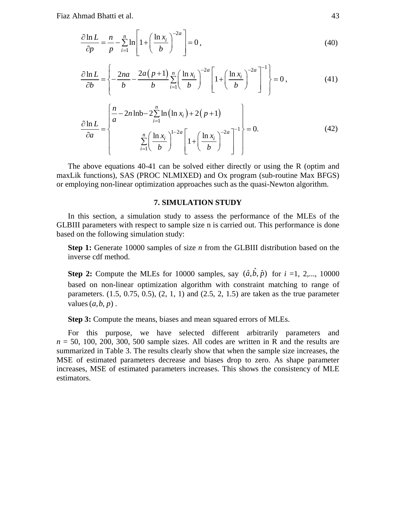$$
\frac{\partial \ln L}{\partial p} = \frac{n}{p} - \sum_{i=1}^{n} \ln \left[ 1 + \left( \frac{\ln x_i}{b} \right)^{-2a} \right] = 0,
$$
\n(40)

$$
\frac{\partial \ln L}{\partial b} = \left\{ -\frac{2na}{b} - \frac{2a(p+1)}{b} \sum_{i=1}^{n} \left( \frac{\ln x_i}{b} \right)^{-2a} \left[ 1 + \left( \frac{\ln x_i}{b} \right)^{-2a} \right]^{-1} \right\} = 0, \tag{41}
$$

$$
\frac{\partial \ln L}{\partial a} = \begin{cases}\n\frac{n}{a} - 2n \ln b - 2 \sum_{i=1}^{n} \ln (\ln x_i) + 2(p+1) \\
\frac{\partial \ln L}{\partial a} = \begin{cases}\n\frac{n}{a} - \frac{2n \ln b - 2 \sum_{i=1}^{n} \ln (\ln x_i)}{b}\n\end{cases} + \left(\frac{\ln x_i}{b}\right)^{-2a} \begin{bmatrix}\n-2a \\
b\n\end{bmatrix} = 0.
$$
\n(42)

The above equations 40-41 can be solved either directly or using the R (optim and maxLik functions), SAS (PROC NLMIXED) and Ox program (sub-routine Max BFGS) or employing non-linear optimization approaches such as the quasi-Newton algorithm.

#### **7. SIMULATION STUDY**

In this section, a simulation study to assess the performance of the MLEs of the GLBIII parameters with respect to sample size n is carried out. This performance is done based on the following simulation study:

**Step 1:** Generate 10000 samples of size *n* from the GLBIII distribution based on the inverse cdf method.

**Step 2:** Compute the MLEs for 10000 samples, say  $(\hat{a}, \hat{b}, \hat{p})$  for  $i = 1, 2,..., 10000$ based on non-linear optimization algorithm with constraint matching to range of parameters.  $(1.5, 0.75, 0.5), (2, 1, 1)$  and  $(2.5, 2, 1.5)$  are taken as the true parameter values  $(a, b, p)$ .

**Step 3:** Compute the means, biases and mean squared errors of MLEs.

For this purpose, we have selected different arbitrarily parameters and  $n = 50$ , 100, 200, 300, 500 sample sizes. All codes are written in R and the results are summarized in Table 3. The results clearly show that when the sample size increases, the MSE of estimated parameters decrease and biases drop to zero. As shape parameter increases, MSE of estimated parameters increases. This shows the consistency of MLE estimators.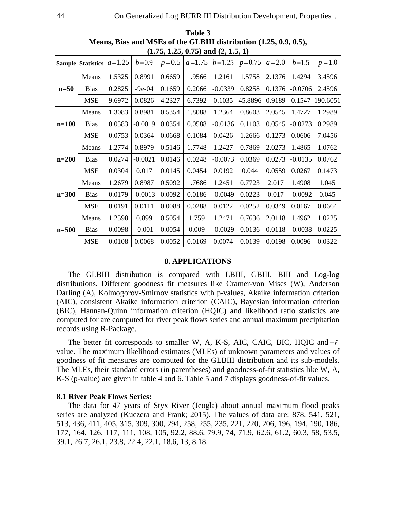|           | $(1,13,1.43,0.13)$ and $(4,1.3,1)$ |          |           |        |                    |                     |         |           |           |           |
|-----------|------------------------------------|----------|-----------|--------|--------------------|---------------------|---------|-----------|-----------|-----------|
|           | <b>Sample Statistics</b>           | $a=1.25$ | $b=0.9$   |        | $p=0.5$   $a=1.75$ | $b=1.25$   $p=0.75$ |         | $a = 2.0$ | $b=1.5$   | $p = 1.0$ |
|           | Means                              | 1.5325   | 0.8991    | 0.6659 | 1.9566             | 1.2161              | 1.5758  | 2.1376    | 1.4294    | 3.4596    |
| $n=50$    | <b>Bias</b>                        | 0.2825   | $-9e-04$  | 0.1659 | 0.2066             | $-0.0339$           | 0.8258  | 0.1376    | $-0.0706$ | 2.4596    |
|           | <b>MSE</b>                         | 9.6972   | 0.0826    | 4.2327 | 6.7392             | 0.1035              | 45.8896 | 0.9189    | 0.1547    | 190.6051  |
| n=100     | Means                              | 1.3083   | 0.8981    | 0.5354 | 1.8088             | 1.2364              | 0.8603  | 2.0545    | 1.4727    | 1.2989    |
|           | <b>Bias</b>                        | 0.0583   | $-0.0019$ | 0.0354 | 0.0588             | $-0.0136$           | 0.1103  | 0.0545    | $-0.0273$ | 0.2989    |
|           | <b>MSE</b>                         | 0.0753   | 0.0364    | 0.0668 | 0.1084             | 0.0426              | 1.2666  | 0.1273    | 0.0606    | 7.0456    |
|           | Means                              | 1.2774   | 0.8979    | 0.5146 | 1.7748             | 1.2427              | 0.7869  | 2.0273    | 1.4865    | 1.0762    |
| $n=200$   | <b>Bias</b>                        | 0.0274   | $-0.0021$ | 0.0146 | 0.0248             | $-0.0073$           | 0.0369  | 0.0273    | $-0.0135$ | 0.0762    |
|           | MSE                                | 0.0304   | 0.017     | 0.0145 | 0.0454             | 0.0192              | 0.044   | 0.0559    | 0.0267    | 0.1473    |
|           | Means                              | 1.2679   | 0.8987    | 0.5092 | 1.7686             | 1.2451              | 0.7723  | 2.017     | 1.4908    | 1.045     |
| $n = 300$ | <b>Bias</b>                        | 0.0179   | $-0.0013$ | 0.0092 | 0.0186             | $-0.0049$           | 0.0223  | 0.017     | $-0.0092$ | 0.045     |
|           | <b>MSE</b>                         | 0.0191   | 0.0111    | 0.0088 | 0.0288             | 0.0122              | 0.0252  | 0.0349    | 0.0167    | 0.0664    |
| n=500     | Means                              | 1.2598   | 0.899     | 0.5054 | 1.759              | 1.2471              | 0.7636  | 2.0118    | 1.4962    | 1.0225    |
|           | <b>Bias</b>                        | 0.0098   | $-0.001$  | 0.0054 | 0.009              | $-0.0029$           | 0.0136  | 0.0118    | $-0.0038$ | 0.0225    |
|           | <b>MSE</b>                         | 0.0108   | 0.0068    | 0.0052 | 0.0169             | 0.0074              | 0.0139  | 0.0198    | 0.0096    | 0.0322    |

**Table 3 Means, Bias and MSEs of the GLBIII distribution (1.25, 0.9, 0.5),**   $(1.75, 1.25, 0.75)$  and  $(2.15, 1)$ 

#### **8. APPLICATIONS**

 The GLBIII distribution is compared with LBIII, GBIII, BIII and Log-log distributions. Different goodness fit measures like Cramer-von Mises (W), Anderson Darling (A), Kolmogorov-Smirnov statistics with p-values, Akaike information criterion (AIC), consistent Akaike information criterion (CAIC), Bayesian information criterion (BIC), Hannan-Quinn information criterion (HQIC) and likelihood ratio statistics are computed for are computed for river peak flows series and annual maximum precipitation records using R-Package.

The better fit corresponds to smaller W, A, K-S, AIC, CAIC, BIC, HQIC and  $-\ell$ value. The maximum likelihood estimates (MLEs) of unknown parameters and values of goodness of fit measures are computed for the GLBIII distribution and its sub-models. The MLEs**,** their standard errors (in parentheses) and goodness-of-fit statistics like W, A, K-S (p-value) are given in table 4 and 6. Table 5 and 7 displays goodness-of-fit values.

#### **8.1 River Peak Flows Series:**

The data for 47 years of Styx River (Jeogla) about annual maximum flood peaks series are analyzed (Kuczera and Frank; 2015). The values of data are: 878, 541, 521, 513, 436, 411, 405, 315, 309, 300, 294, 258, 255, 235, 221, 220, 206, 196, 194, 190, 186, 177, 164, 126, 117, 111, 108, 105, 92.2, 88.6, 79.9, 74, 71.9, 62.6, 61.2, 60.3, 58, 53.5, 39.1, 26.7, 26.1, 23.8, 22.4, 22.1, 18.6, 13, 8.18.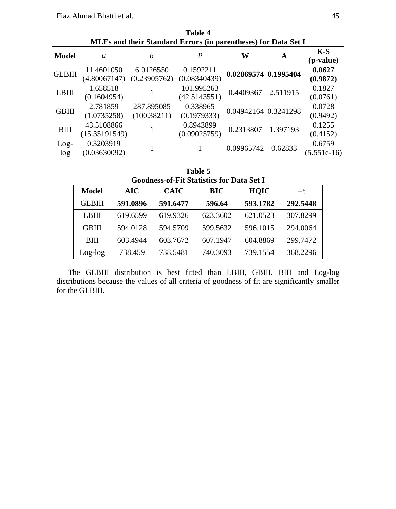|               | millis and their blandard lift of 5 (in parentheses) for Data bet 1 |              |              |                      |          |                    |  |  |  |
|---------------|---------------------------------------------------------------------|--------------|--------------|----------------------|----------|--------------------|--|--|--|
| Model         | a                                                                   | h            | р            | W                    | A        | $K-S$<br>(p-value) |  |  |  |
| <b>GLBIII</b> | 11.4601050                                                          | 6.0126550    | 0.1592211    | 0.02869574 0.1995404 |          | 0.0627             |  |  |  |
|               | (4.80067147)                                                        | (0.23905762) | (0.08340439) |                      |          | (0.9872)           |  |  |  |
| <b>LBIII</b>  | 1.658518                                                            |              | 101.995263   | 0.4409367            | 2.511915 | 0.1827             |  |  |  |
|               | (0.1604954)                                                         |              | (42.5143551) |                      |          | (0.0761)           |  |  |  |
| <b>GBIII</b>  | 2.781859                                                            | 287.895085   | 0.338965     | 0.04942164 0.3241298 |          | 0.0728             |  |  |  |
|               | (1.0735258)                                                         | (100.38211)  | (0.1979333)  |                      |          | (0.9492)           |  |  |  |
| BIII          | 43.5108866                                                          |              | 0.8943899    | 0.2313807            | 1.397193 | 0.1255             |  |  |  |
|               | (15.35191549)                                                       |              | (0.09025759) |                      |          | (0.4152)           |  |  |  |
| $Log-$        | 0.3203919                                                           |              |              | 0.09965742           | 0.62833  | 0.6759             |  |  |  |
| log           | (0.03630092)                                                        |              |              |                      |          | $(5.551e-16)$      |  |  |  |

**Table 4 MLEs and their Standard Errors (in parentheses) for Data Set I** 

|                                                  | Table 5 |  |  |
|--------------------------------------------------|---------|--|--|
| <b>Goodness-of-Fit Statistics for Data Set I</b> |         |  |  |

|               | Googness-of-Fit Blatistics for Data Bet I |             |          |             |          |  |  |  |
|---------------|-------------------------------------------|-------------|----------|-------------|----------|--|--|--|
| <b>Model</b>  | <b>AIC</b>                                | <b>CAIC</b> | BIC      | <b>HOIC</b> | $-\ell$  |  |  |  |
| <b>GLBIII</b> | 591.0896                                  | 591.6477    | 596.64   | 593.1782    | 292.5448 |  |  |  |
| LBIII         | 619.6599                                  | 619.9326    | 623.3602 | 621.0523    | 307.8299 |  |  |  |
| <b>GBIII</b>  | 594.0128                                  | 594.5709    | 599.5632 | 596.1015    | 294.0064 |  |  |  |
| <b>BIII</b>   | 603.4944                                  | 603.7672    | 607.1947 | 604.8869    | 299.7472 |  |  |  |
| $Log-log$     | 738.459                                   | 738.5481    | 740.3093 | 739.1554    | 368.2296 |  |  |  |

 The GLBIII distribution is best fitted than LBIII, GBIII, BIII and Log-log distributions because the values of all criteria of goodness of fit are significantly smaller for the GLBIII.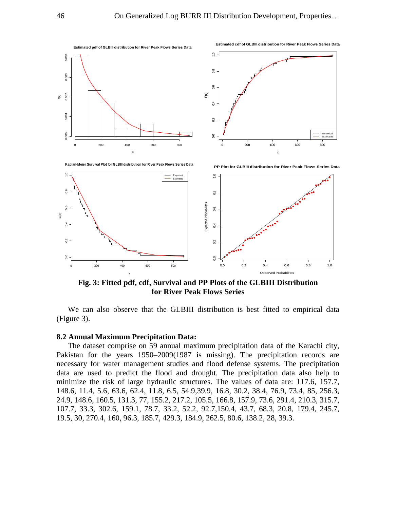

**Fig. 3: Fitted pdf, cdf, Survival and PP Plots of the GLBIII Distribution for River Peak Flows Series** 

We can also observe that the GLBIII distribution is best fitted to empirical data (Figure 3).

#### **8.2 Annual Maximum Precipitation Data:**

The dataset comprise on 59 annual maximum precipitation data of the Karachi city, Pakistan for the years 1950–2009(1987 is missing). The precipitation records are necessary for water management studies and flood defense systems. The precipitation data are used to predict the flood and drought. The precipitation data also help to minimize the risk of large hydraulic structures. The values of data are: 117.6, 157.7, 148.6, 11.4, 5.6, 63.6, 62.4, 11.8, 6.5, 54.9,39.9, 16.8, 30.2, 38.4, 76.9, 73.4, 85, 256.3, 24.9, 148.6, 160.5, 131.3, 77, 155.2, 217.2, 105.5, 166.8, 157.9, 73.6, 291.4, 210.3, 315.7, 107.7, 33.3, 302.6, 159.1, 78.7, 33.2, 52.2, 92.7,150.4, 43.7, 68.3, 20.8, 179.4, 245.7, 19.5, 30, 270.4, 160, 96.3, 185.7, 429.3, 184.9, 262.5, 80.6, 138.2, 28, 39.3.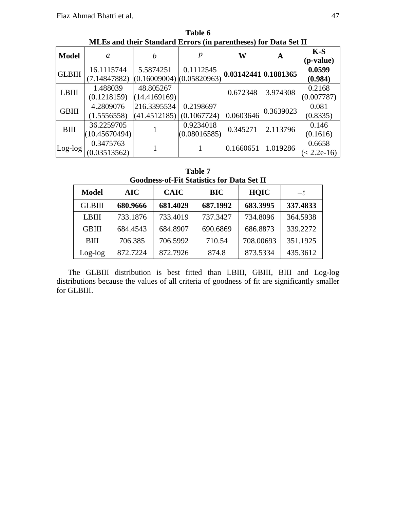| <b>Model</b>  | a                           |                                                                      | p                         | W         | A         | $K-S$<br>(p-value)      |
|---------------|-----------------------------|----------------------------------------------------------------------|---------------------------|-----------|-----------|-------------------------|
| <b>GLBIII</b> | 16.1115744<br>(7.14847882)  | 5.5874251<br>$\frac{(0.16009004)(0.05820963)}{0.03142441}$ 0.1881365 | 0.1112545                 |           |           | 0.0599<br>(0.984)       |
| <b>LBIII</b>  | 1.488039<br>(0.1218159)     | 48.805267<br>(14.4169169)                                            |                           | 0.672348  | 3.974308  | 0.2168<br>(0.007787)    |
| <b>GBIII</b>  | 4.2809076<br>(1.5556558)    | 216.3395534<br>(41.4512185)                                          | 0.2198697<br>(0.1067724)  | 0.0603646 | 0.3639023 | 0.081<br>(0.8335)       |
| <b>BIII</b>   | 36.2259705<br>(10.45670494) |                                                                      | 0.9234018<br>(0.08016585) | 0.345271  | 2.113796  | 0.146<br>(0.1616)       |
| $Log-log$     | 0.3475763<br>(0.03513562)   |                                                                      |                           | 0.1660651 | 1.019286  | 0.6658<br>$(< 2.2e-16)$ |

**Table 6 MLEs and their Standard Errors (in parentheses) for Data Set II**

|               | <b>Goodness-of-Fit Statistics for Data Set II</b> |             |          |             |          |  |  |  |  |
|---------------|---------------------------------------------------|-------------|----------|-------------|----------|--|--|--|--|
| <b>Model</b>  | AIC                                               | <b>CAIC</b> | BIC      | <b>HOIC</b> | $-\ell$  |  |  |  |  |
| <b>GLBIII</b> | 680.9666                                          | 681.4029    | 687.1992 | 683.3995    | 337.4833 |  |  |  |  |
| LBIII         | 733.1876                                          | 733.4019    | 737.3427 | 734.8096    | 364.5938 |  |  |  |  |
| <b>GBIII</b>  | 684.4543                                          | 684.8907    | 690.6869 | 686.8873    | 339.2272 |  |  |  |  |
| <b>BIII</b>   | 706.385                                           | 706.5992    | 710.54   | 708.00693   | 351.1925 |  |  |  |  |
| $Log-log$     | 872.7224                                          | 872.7926    | 874.8    | 873.5334    | 435.3612 |  |  |  |  |

**Table 7** 

 The GLBIII distribution is best fitted than LBIII, GBIII, BIII and Log-log distributions because the values of all criteria of goodness of fit are significantly smaller for GLBIII.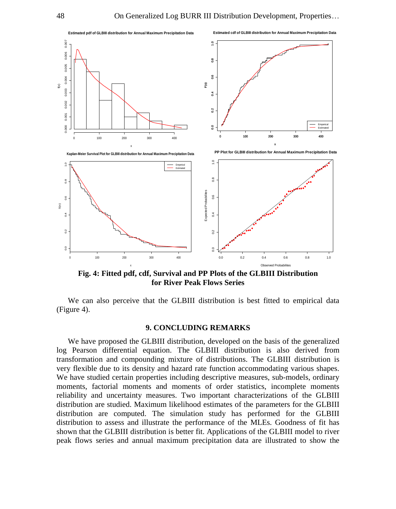

**Fig. 4: Fitted pdf, cdf, Survival and PP Plots of the GLBIII Distribution for River Peak Flows Series**

We can also perceive that the GLBIII distribution is best fitted to empirical data (Figure 4).

#### **9. CONCLUDING REMARKS**

We have proposed the GLBIII distribution, developed on the basis of the generalized log Pearson differential equation. The GLBIII distribution is also derived from transformation and compounding mixture of distributions. The GLBIII distribution is very flexible due to its density and hazard rate function accommodating various shapes. We have studied certain properties including descriptive measures, sub-models, ordinary moments, factorial moments and moments of order statistics, incomplete moments reliability and uncertainty measures. Two important characterizations of the GLBIII distribution are studied. Maximum likelihood estimates of the parameters for the GLBIII distribution are computed. The simulation study has performed for the GLBIII distribution to assess and illustrate the performance of the MLEs. Goodness of fit has shown that the GLBIII distribution is better fit. Applications of the GLBIII model to river peak flows series and annual maximum precipitation data are illustrated to show the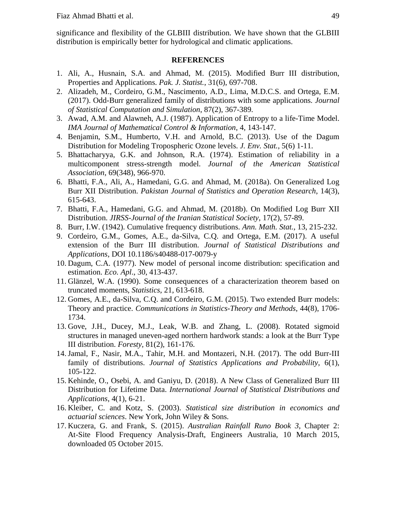significance and flexibility of the GLBIII distribution. We have shown that the GLBIII distribution is empirically better for hydrological and climatic applications.

#### **REFERENCES**

- 1. Ali, A., Husnain, S.A. and Ahmad, M. (2015). Modified Burr III distribution, Properties and Applications. *Pak. J. Statist.*, 31(6), 697-708.
- 2. Alizadeh, M., Cordeiro, G.M., Nascimento, A.D., Lima, M.D.C.S. and Ortega, E.M. (2017). Odd-Burr generalized family of distributions with some applications. *Journal of Statistical Computation and Simulation*, 87(2), 367-389.
- 3. Awad, A.M. and Alawneh, A.J. (1987). Application of Entropy to a life-Time Model. *IMA Journal of Mathematical Control & Information*, 4, 143-147.
- 4. Benjamin, S.M., Humberto, V.H. and Arnold, B.C. (2013). Use of the Dagum Distribution for Modeling Tropospheric Ozone levels. *J. Env. Stat.*, 5(6) 1-11.
- 5. Bhattacharyya, G.K. and Johnson, R.A. (1974). Estimation of reliability in a multicomponent stress-strength model. *Journal of the American Statistical Association*, 69(348), 966-970.
- 6. Bhatti, F.A., Ali, A., Hamedani, G.G. and Ahmad, M. (2018a). On Generalized Log Burr XII Distribution. *Pakistan Journal of Statistics and Operation Research*, 14(3), 615-643.
- 7. Bhatti, F.A., Hamedani, G.G. and Ahmad, M. (2018b). On Modified Log Burr XII Distribution. *JIRSS-Journal of the Iranian Statistical Society*, 17(2), 57-89.
- 8. Burr, I.W. (1942). Cumulative frequency distributions. *Ann. Math. Stat.*, 13, 215-232.
- 9. Cordeiro, G.M., Gomes, A.E., da-Silva, C.Q. and Ortega, E.M. (2017). A useful extension of the Burr III distribution. *Journal of Statistical Distributions and Applications*, DOI 10.1186/s40488-017-0079-y
- 10. Dagum, C.A. (1977). New model of personal income distribution: specification and estimation. *Eco. Apl*., 30, 413-437.
- 11. Glänzel, W.A. (1990). Some consequences of a characterization theorem based on truncated moments, *Statistics*, 21, 613-618.
- 12. Gomes, A.E., da-Silva, C.Q. and Cordeiro, G.M. (2015). Two extended Burr models: Theory and practice. *Communications in Statistics-Theory and Methods*, 44(8), 1706- 1734.
- 13. Gove, J.H., Ducey, M.J., Leak, W.B. and Zhang, L. (2008). Rotated sigmoid structures in managed uneven-aged northern hardwork stands: a look at the Burr Type III distribution. *Foresty,* 81(2), 161-176.
- 14.Jamal, F., Nasir, M.A., Tahir, M.H. and Montazeri, N.H. (2017). The odd Burr-III family of distributions. *Journal of Statistics Applications and Probability*, 6(1), 105-122.
- 15. Kehinde, O., Osebi, A. and Ganiyu, D. (2018). A New Class of Generalized Burr III Distribution for Lifetime Data. *International Journal of Statistical Distributions and Applications*, 4(1), 6-21.
- 16. Kleiber, C. and Kotz, S. (2003). *Statistical size distribution in economics and actuarial sciences*. New York, John Wiley & Sons.
- 17. Kuczera, G. and Frank, S. (2015). *Australian Rainfall Runo Book 3*, Chapter 2: At-Site Flood Frequency Analysis-Draft, Engineers Australia, 10 March 2015, downloaded 05 October 2015.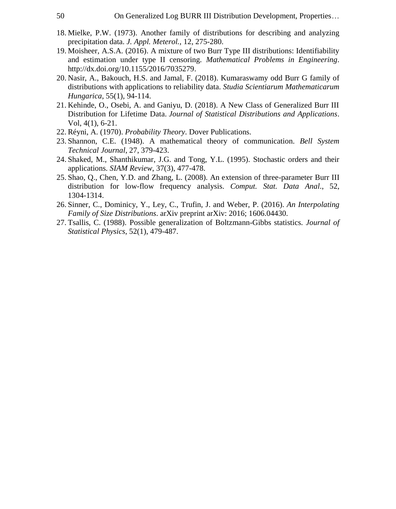- 18. Mielke, P.W. (1973). Another family of distributions for describing and analyzing precipitation data. *J. Appl. Meterol.,* 12, 275-280.
- 19. Moisheer, A.S.A. (2016). A mixture of two Burr Type III distributions: Identifiability and estimation under type II censoring. *Mathematical Problems in Engineering*. [http://dx.doi.org/10.1155/2016/7035279.](http://dx.doi.org/10.1155/2016/7035279)
- 20. Nasir, A., Bakouch, H.S. and Jamal, F. (2018). Kumaraswamy odd Burr G family of distributions with applications to reliability data. *Studia Scientiarum Mathematicarum Hungarica*, 55(1), 94-114.
- 21. Kehinde, O., Osebi, A. and Ganiyu, D. (2018). A New Class of Generalized Burr III Distribution for Lifetime Data. *Journal of Statistical Distributions and Applications*. Vol, 4(1), 6-21.
- 22. Réyni, A. (1970). *Probability Theory*. Dover Publications.
- 23. Shannon, C.E. (1948). A mathematical theory of communication. *Bell System Technical Journal*, 27, 379-423.
- 24. Shaked, M., Shanthikumar, J.G. and Tong, Y.L. (1995). Stochastic orders and their applications. *SIAM Review*, 37(3), 477-478.
- 25. Shao, Q., Chen, Y.D. and Zhang, L. (2008). An extension of three-parameter Burr III distribution for low-flow frequency analysis. *Comput. Stat. Data Anal*., 52, 1304-1314.
- 26. Sinner, C., Dominicy, Y., Ley, C., Trufin, J. and Weber, P. (2016). *An Interpolating Family of Size Distributions*. arXiv preprint arXiv: 2016; 1606.04430.
- 27. Tsallis, C. (1988). Possible generalization of Boltzmann-Gibbs statistics. *Journal of Statistical Physics*, 52(1), 479-487.